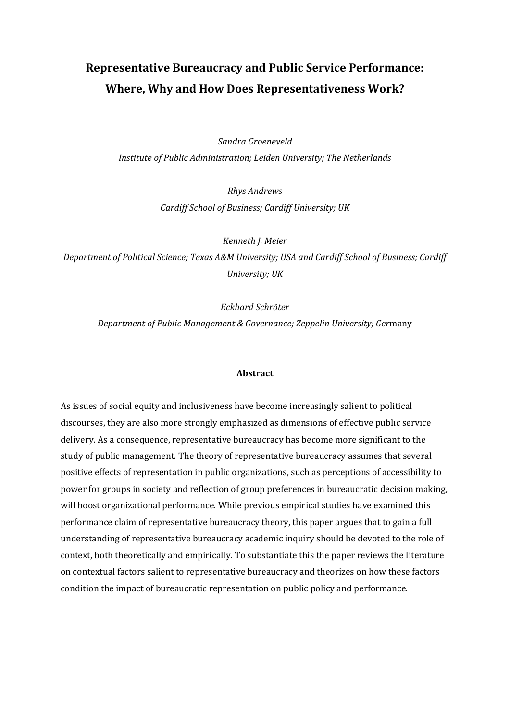# **Representative Bureaucracy and Public Service Performance: Where, Why and How Does Representativeness Work?**

*Sandra Groeneveld Institute of Public Administration; Leiden University; The Netherlands*

> *Rhys Andrews Cardiff School of Business; Cardiff University; UK*

*Kenneth J. Meier Department of Political Science; Texas A&M University; USA and Cardiff School of Business; Cardiff University; UK*

*Eckhard Schröter*

*Department of Public Management & Governance; Zeppelin University; Ger*many

#### **Abstract**

As issues of social equity and inclusiveness have become increasingly salient to political discourses, they are also more strongly emphasized as dimensions of effective public service delivery. As a consequence, representative bureaucracy has become more significant to the study of public management. The theory of representative bureaucracy assumes that several positive effects of representation in public organizations, such as perceptions of accessibility to power for groups in society and reflection of group preferences in bureaucratic decision making, will boost organizational performance. While previous empirical studies have examined this performance claim of representative bureaucracy theory, this paper argues that to gain a full understanding of representative bureaucracy academic inquiry should be devoted to the role of context, both theoretically and empirically. To substantiate this the paper reviews the literature on contextual factors salient to representative bureaucracy and theorizes on how these factors condition the impact of bureaucratic representation on public policy and performance.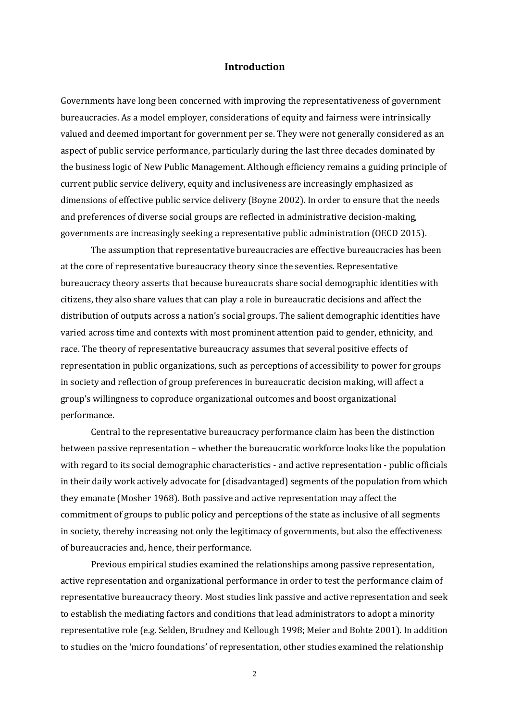### **Introduction**

Governments have long been concerned with improving the representativeness of government bureaucracies. As a model employer, considerations of equity and fairness were intrinsically valued and deemed important for government per se. They were not generally considered as an aspect of public service performance, particularly during the last three decades dominated by the business logic of New Public Management. Although efficiency remains a guiding principle of current public service delivery, equity and inclusiveness are increasingly emphasized as dimensions of effective public service delivery (Boyne 2002). In order to ensure that the needs and preferences of diverse social groups are reflected in administrative decision-making, governments are increasingly seeking a representative public administration (OECD 2015).

The assumption that representative bureaucracies are effective bureaucracies has been at the core of representative bureaucracy theory since the seventies. Representative bureaucracy theory asserts that because bureaucrats share social demographic identities with citizens, they also share values that can play a role in bureaucratic decisions and affect the distribution of outputs across a nation's social groups. The salient demographic identities have varied across time and contexts with most prominent attention paid to gender, ethnicity, and race. The theory of representative bureaucracy assumes that several positive effects of representation in public organizations, such as perceptions of accessibility to power for groups in society and reflection of group preferences in bureaucratic decision making, will affect a group's willingness to coproduce organizational outcomes and boost organizational performance.

Central to the representative bureaucracy performance claim has been the distinction between passive representation – whether the bureaucratic workforce looks like the population with regard to its social demographic characteristics - and active representation - public officials in their daily work actively advocate for (disadvantaged) segments of the population from which they emanate (Mosher 1968). Both passive and active representation may affect the commitment of groups to public policy and perceptions of the state as inclusive of all segments in society, thereby increasing not only the legitimacy of governments, but also the effectiveness of bureaucracies and, hence, their performance.

Previous empirical studies examined the relationships among passive representation, active representation and organizational performance in order to test the performance claim of representative bureaucracy theory. Most studies link passive and active representation and seek to establish the mediating factors and conditions that lead administrators to adopt a minority representative role (e.g. Selden, Brudney and Kellough 1998; Meier and Bohte 2001). In addition to studies on the 'micro foundations' of representation, other studies examined the relationship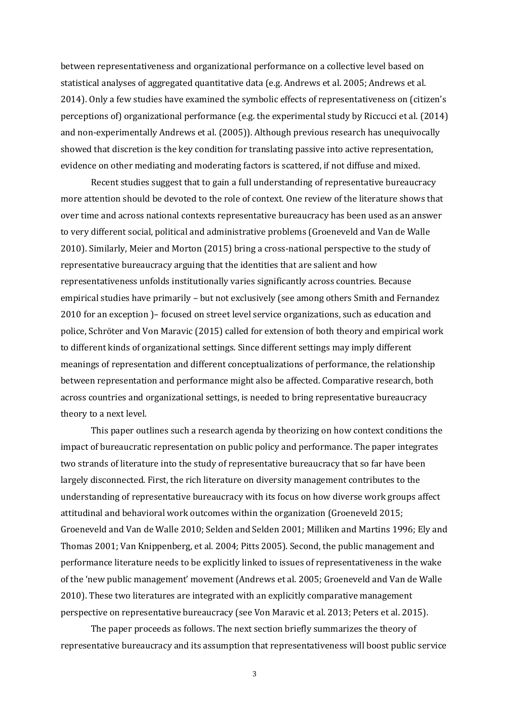between representativeness and organizational performance on a collective level based on statistical analyses of aggregated quantitative data (e.g. Andrews et al. 2005; Andrews et al. 2014). Only a few studies have examined the symbolic effects of representativeness on (citizen's perceptions of) organizational performance (e.g. the experimental study by Riccucci et al. (2014) and non-experimentally Andrews et al. (2005)). Although previous research has unequivocally showed that discretion is the key condition for translating passive into active representation, evidence on other mediating and moderating factors is scattered, if not diffuse and mixed.

Recent studies suggest that to gain a full understanding of representative bureaucracy more attention should be devoted to the role of context. One review of the literature shows that over time and across national contexts representative bureaucracy has been used as an answer to very different social, political and administrative problems (Groeneveld and Van de Walle 2010). Similarly, Meier and Morton (2015) bring a cross-national perspective to the study of representative bureaucracy arguing that the identities that are salient and how representativeness unfolds institutionally varies significantly across countries. Because empirical studies have primarily – but not exclusively (see among others Smith and Fernandez 2010 for an exception )– focused on street level service organizations, such as education and police, Schröter and Von Maravic (2015) called for extension of both theory and empirical work to different kinds of organizational settings. Since different settings may imply different meanings of representation and different conceptualizations of performance, the relationship between representation and performance might also be affected. Comparative research, both across countries and organizational settings, is needed to bring representative bureaucracy theory to a next level.

This paper outlines such a research agenda by theorizing on how context conditions the impact of bureaucratic representation on public policy and performance. The paper integrates two strands of literature into the study of representative bureaucracy that so far have been largely disconnected. First, the rich literature on diversity management contributes to the understanding of representative bureaucracy with its focus on how diverse work groups affect attitudinal and behavioral work outcomes within the organization (Groeneveld 2015; Groeneveld and Van de Walle 2010; Selden and Selden 2001; Milliken and Martins 1996; Ely and Thomas 2001; Van Knippenberg, et al. 2004; Pitts 2005). Second, the public management and performance literature needs to be explicitly linked to issues of representativeness in the wake of the 'new public management' movement (Andrews et al. 2005; Groeneveld and Van de Walle 2010). These two literatures are integrated with an explicitly comparative management perspective on representative bureaucracy (see Von Maravic et al. 2013; Peters et al. 2015).

The paper proceeds as follows. The next section briefly summarizes the theory of representative bureaucracy and its assumption that representativeness will boost public service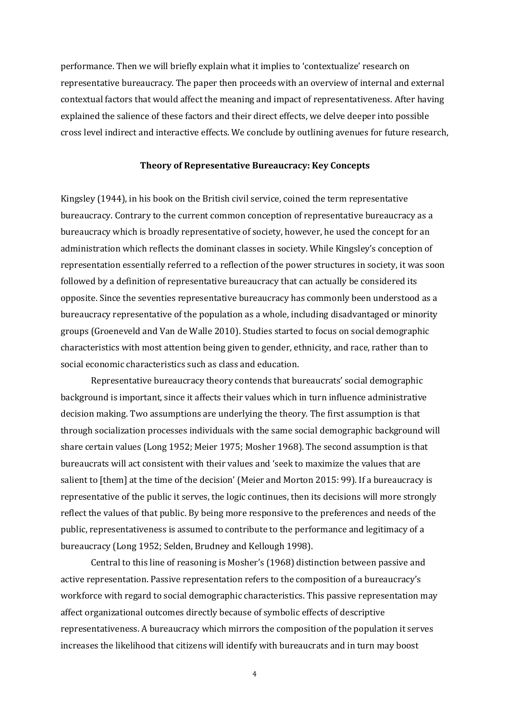performance. Then we will briefly explain what it implies to 'contextualize' research on representative bureaucracy. The paper then proceeds with an overview of internal and external contextual factors that would affect the meaning and impact of representativeness. After having explained the salience of these factors and their direct effects, we delve deeper into possible cross level indirect and interactive effects. We conclude by outlining avenues for future research,

#### **Theory of Representative Bureaucracy: Key Concepts**

Kingsley (1944), in his book on the British civil service, coined the term representative bureaucracy. Contrary to the current common conception of representative bureaucracy as a bureaucracy which is broadly representative of society, however, he used the concept for an administration which reflects the dominant classes in society. While Kingsley's conception of representation essentially referred to a reflection of the power structures in society, it was soon followed by a definition of representative bureaucracy that can actually be considered its opposite. Since the seventies representative bureaucracy has commonly been understood as a bureaucracy representative of the population as a whole, including disadvantaged or minority groups (Groeneveld and Van de Walle 2010). Studies started to focus on social demographic characteristics with most attention being given to gender, ethnicity, and race, rather than to social economic characteristics such as class and education.

Representative bureaucracy theory contends that bureaucrats' social demographic background is important, since it affects their values which in turn influence administrative decision making. Two assumptions are underlying the theory. The first assumption is that through socialization processes individuals with the same social demographic background will share certain values (Long 1952; Meier 1975; Mosher 1968). The second assumption is that bureaucrats will act consistent with their values and 'seek to maximize the values that are salient to [them] at the time of the decision' (Meier and Morton 2015: 99). If a bureaucracy is representative of the public it serves, the logic continues, then its decisions will more strongly reflect the values of that public. By being more responsive to the preferences and needs of the public, representativeness is assumed to contribute to the performance and legitimacy of a bureaucracy (Long 1952; Selden, Brudney and Kellough 1998).

Central to this line of reasoning is Mosher's (1968) distinction between passive and active representation. Passive representation refers to the composition of a bureaucracy's workforce with regard to social demographic characteristics. This passive representation may affect organizational outcomes directly because of symbolic effects of descriptive representativeness. A bureaucracy which mirrors the composition of the population it serves increases the likelihood that citizens will identify with bureaucrats and in turn may boost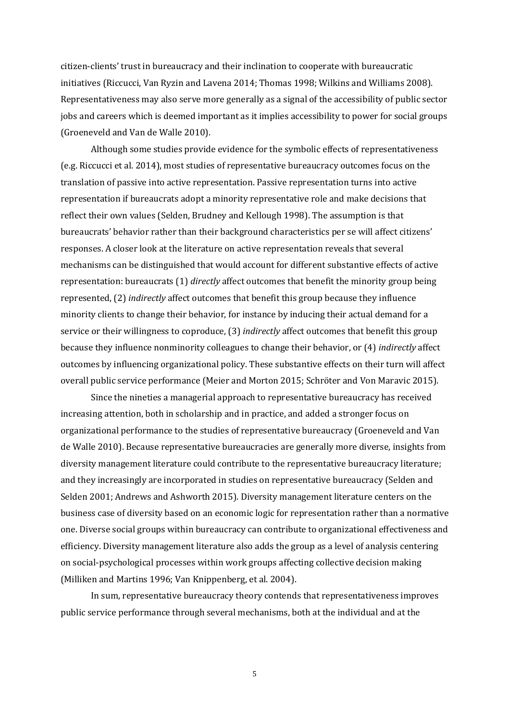citizen-clients' trust in bureaucracy and their inclination to cooperate with bureaucratic initiatives (Riccucci, Van Ryzin and Lavena 2014; Thomas 1998; Wilkins and Williams 2008). Representativeness may also serve more generally as a signal of the accessibility of public sector jobs and careers which is deemed important as it implies accessibility to power for social groups (Groeneveld and Van de Walle 2010).

Although some studies provide evidence for the symbolic effects of representativeness (e.g. Riccucci et al. 2014), most studies of representative bureaucracy outcomes focus on the translation of passive into active representation. Passive representation turns into active representation if bureaucrats adopt a minority representative role and make decisions that reflect their own values (Selden, Brudney and Kellough 1998). The assumption is that bureaucrats' behavior rather than their background characteristics per se will affect citizens' responses. A closer look at the literature on active representation reveals that several mechanisms can be distinguished that would account for different substantive effects of active representation: bureaucrats (1) *directly* affect outcomes that benefit the minority group being represented, (2) *indirectly* affect outcomes that benefit this group because they influence minority clients to change their behavior, for instance by inducing their actual demand for a service or their willingness to coproduce, (3) *indirectly* affect outcomes that benefit this group because they influence nonminority colleagues to change their behavior, or (4) *indirectly* affect outcomes by influencing organizational policy. These substantive effects on their turn will affect overall public service performance (Meier and Morton 2015; Schröter and Von Maravic 2015).

Since the nineties a managerial approach to representative bureaucracy has received increasing attention, both in scholarship and in practice, and added a stronger focus on organizational performance to the studies of representative bureaucracy (Groeneveld and Van de Walle 2010). Because representative bureaucracies are generally more diverse, insights from diversity management literature could contribute to the representative bureaucracy literature; and they increasingly are incorporated in studies on representative bureaucracy (Selden and Selden 2001; Andrews and Ashworth 2015). Diversity management literature centers on the business case of diversity based on an economic logic for representation rather than a normative one. Diverse social groups within bureaucracy can contribute to organizational effectiveness and efficiency. Diversity management literature also adds the group as a level of analysis centering on social-psychological processes within work groups affecting collective decision making (Milliken and Martins 1996; Van Knippenberg, et al. 2004).

In sum, representative bureaucracy theory contends that representativeness improves public service performance through several mechanisms, both at the individual and at the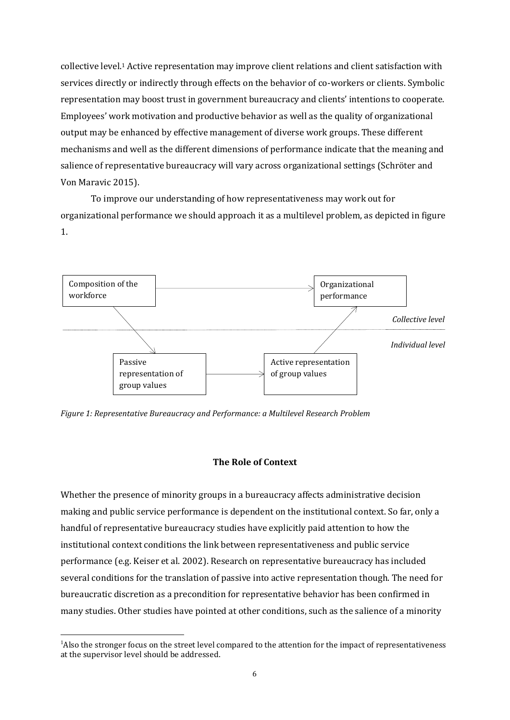collective level.<sup>1</sup> Active representation may improve client relations and client satisfaction with services directly or indirectly through effects on the behavior of co-workers or clients. Symbolic representation may boost trust in government bureaucracy and clients' intentions to cooperate. Employees' work motivation and productive behavior as well as the quality of organizational output may be enhanced by effective management of diverse work groups. These different mechanisms and well as the different dimensions of performance indicate that the meaning and salience of representative bureaucracy will vary across organizational settings (Schröter and Von Maravic 2015).

To improve our understanding of how representativeness may work out for organizational performance we should approach it as a multilevel problem, as depicted in figure 1.



*Figure 1: Representative Bureaucracy and Performance: a Multilevel Research Problem*

## **The Role of Context**

Whether the presence of minority groups in a bureaucracy affects administrative decision making and public service performance is dependent on the institutional context. So far, only a handful of representative bureaucracy studies have explicitly paid attention to how the institutional context conditions the link between representativeness and public service performance (e.g. Keiser et al. 2002). Research on representative bureaucracy has included several conditions for the translation of passive into active representation though. The need for bureaucratic discretion as a precondition for representative behavior has been confirmed in many studies. Other studies have pointed at other conditions, such as the salience of a minority

<sup>&</sup>lt;sup>1</sup>Also the stronger focus on the street level compared to the attention for the impact of representativeness at the supervisor level should be addressed.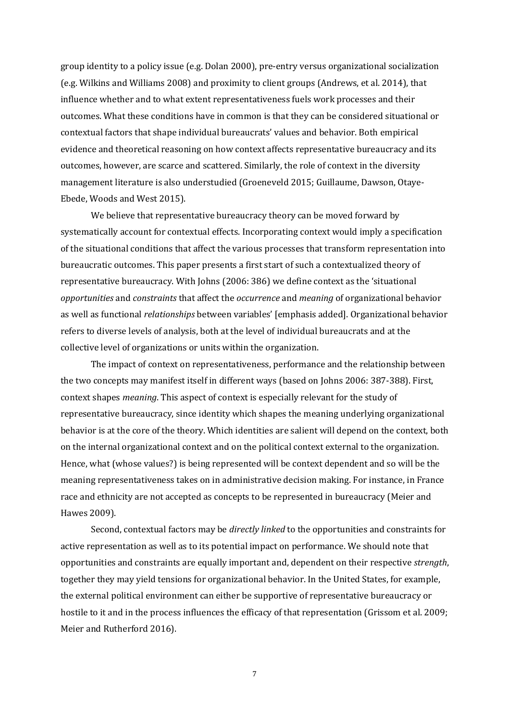group identity to a policy issue (e.g. Dolan 2000), pre-entry versus organizational socialization (e.g. Wilkins and Williams 2008) and proximity to client groups (Andrews, et al. 2014), that influence whether and to what extent representativeness fuels work processes and their outcomes. What these conditions have in common is that they can be considered situational or contextual factors that shape individual bureaucrats' values and behavior. Both empirical evidence and theoretical reasoning on how context affects representative bureaucracy and its outcomes, however, are scarce and scattered. Similarly, the role of context in the diversity management literature is also understudied (Groeneveld 2015; Guillaume, Dawson, Otaye-Ebede, Woods and West 2015).

We believe that representative bureaucracy theory can be moved forward by systematically account for contextual effects. Incorporating context would imply a specification of the situational conditions that affect the various processes that transform representation into bureaucratic outcomes. This paper presents a first start of such a contextualized theory of representative bureaucracy. With Johns (2006: 386) we define context as the 'situational *opportunities* and *constraints* that affect the *occurrence* and *meaning* of organizational behavior as well as functional *relationships* between variables' [emphasis added]. Organizational behavior refers to diverse levels of analysis, both at the level of individual bureaucrats and at the collective level of organizations or units within the organization.

The impact of context on representativeness, performance and the relationship between the two concepts may manifest itself in different ways (based on Johns 2006: 387-388). First, context shapes *meaning*. This aspect of context is especially relevant for the study of representative bureaucracy, since identity which shapes the meaning underlying organizational behavior is at the core of the theory. Which identities are salient will depend on the context, both on the internal organizational context and on the political context external to the organization. Hence, what (whose values?) is being represented will be context dependent and so will be the meaning representativeness takes on in administrative decision making. For instance, in France race and ethnicity are not accepted as concepts to be represented in bureaucracy (Meier and Hawes 2009).

Second, contextual factors may be *directly linked* to the opportunities and constraints for active representation as well as to its potential impact on performance. We should note that opportunities and constraints are equally important and, dependent on their respective *strength*, together they may yield tensions for organizational behavior. In the United States, for example, the external political environment can either be supportive of representative bureaucracy or hostile to it and in the process influences the efficacy of that representation (Grissom et al. 2009; Meier and Rutherford 2016).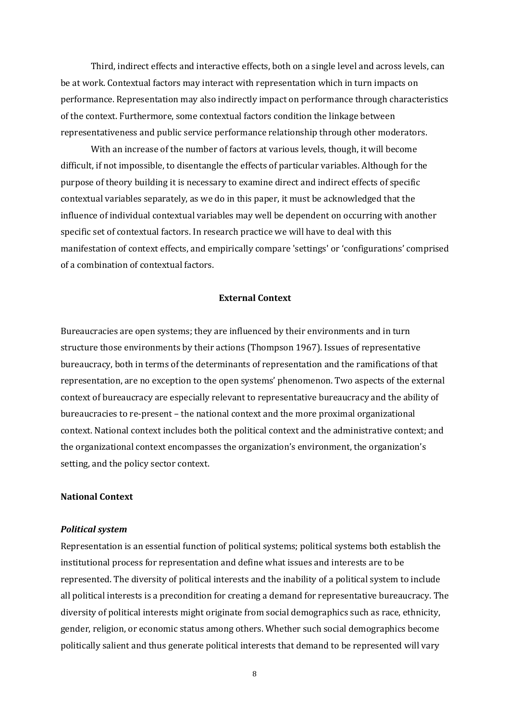Third, indirect effects and interactive effects, both on a single level and across levels, can be at work. Contextual factors may interact with representation which in turn impacts on performance. Representation may also indirectly impact on performance through characteristics of the context. Furthermore, some contextual factors condition the linkage between representativeness and public service performance relationship through other moderators.

With an increase of the number of factors at various levels, though, it will become difficult, if not impossible, to disentangle the effects of particular variables. Although for the purpose of theory building it is necessary to examine direct and indirect effects of specific contextual variables separately, as we do in this paper, it must be acknowledged that the influence of individual contextual variables may well be dependent on occurring with another specific set of contextual factors. In research practice we will have to deal with this manifestation of context effects, and empirically compare 'settings' or 'configurations' comprised of a combination of contextual factors.

## **External Context**

Bureaucracies are open systems; they are influenced by their environments and in turn structure those environments by their actions (Thompson 1967). Issues of representative bureaucracy, both in terms of the determinants of representation and the ramifications of that representation, are no exception to the open systems' phenomenon. Two aspects of the external context of bureaucracy are especially relevant to representative bureaucracy and the ability of bureaucracies to re-present – the national context and the more proximal organizational context. National context includes both the political context and the administrative context; and the organizational context encompasses the organization's environment, the organization's setting, and the policy sector context.

## **National Context**

#### *Political system*

Representation is an essential function of political systems; political systems both establish the institutional process for representation and define what issues and interests are to be represented. The diversity of political interests and the inability of a political system to include all political interests is a precondition for creating a demand for representative bureaucracy. The diversity of political interests might originate from social demographics such as race, ethnicity, gender, religion, or economic status among others. Whether such social demographics become politically salient and thus generate political interests that demand to be represented will vary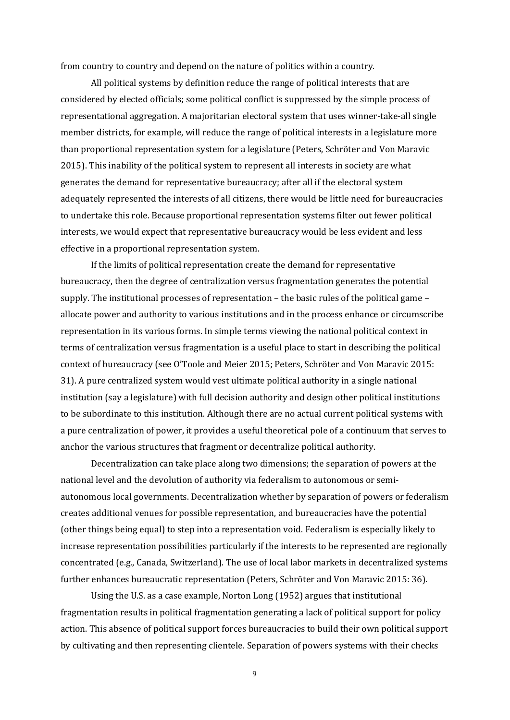from country to country and depend on the nature of politics within a country.

All political systems by definition reduce the range of political interests that are considered by elected officials; some political conflict is suppressed by the simple process of representational aggregation. A majoritarian electoral system that uses winner-take-all single member districts, for example, will reduce the range of political interests in a legislature more than proportional representation system for a legislature (Peters, Schröter and Von Maravic 2015). This inability of the political system to represent all interests in society are what generates the demand for representative bureaucracy; after all if the electoral system adequately represented the interests of all citizens, there would be little need for bureaucracies to undertake this role. Because proportional representation systems filter out fewer political interests, we would expect that representative bureaucracy would be less evident and less effective in a proportional representation system.

If the limits of political representation create the demand for representative bureaucracy, then the degree of centralization versus fragmentation generates the potential supply. The institutional processes of representation – the basic rules of the political game – allocate power and authority to various institutions and in the process enhance or circumscribe representation in its various forms. In simple terms viewing the national political context in terms of centralization versus fragmentation is a useful place to start in describing the political context of bureaucracy (see O'Toole and Meier 2015; Peters, Schröter and Von Maravic 2015: 31). A pure centralized system would vest ultimate political authority in a single national institution (say a legislature) with full decision authority and design other political institutions to be subordinate to this institution. Although there are no actual current political systems with a pure centralization of power, it provides a useful theoretical pole of a continuum that serves to anchor the various structures that fragment or decentralize political authority.

Decentralization can take place along two dimensions; the separation of powers at the national level and the devolution of authority via federalism to autonomous or semiautonomous local governments. Decentralization whether by separation of powers or federalism creates additional venues for possible representation, and bureaucracies have the potential (other things being equal) to step into a representation void. Federalism is especially likely to increase representation possibilities particularly if the interests to be represented are regionally concentrated (e.g., Canada, Switzerland). The use of local labor markets in decentralized systems further enhances bureaucratic representation (Peters, Schröter and Von Maravic 2015: 36).

Using the U.S. as a case example, Norton Long (1952) argues that institutional fragmentation results in political fragmentation generating a lack of political support for policy action. This absence of political support forces bureaucracies to build their own political support by cultivating and then representing clientele. Separation of powers systems with their checks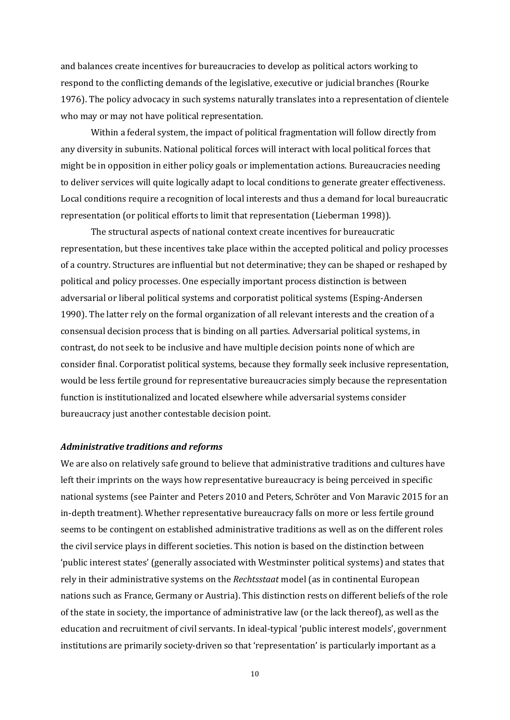and balances create incentives for bureaucracies to develop as political actors working to respond to the conflicting demands of the legislative, executive or judicial branches (Rourke 1976). The policy advocacy in such systems naturally translates into a representation of clientele who may or may not have political representation.

Within a federal system, the impact of political fragmentation will follow directly from any diversity in subunits. National political forces will interact with local political forces that might be in opposition in either policy goals or implementation actions. Bureaucracies needing to deliver services will quite logically adapt to local conditions to generate greater effectiveness. Local conditions require a recognition of local interests and thus a demand for local bureaucratic representation (or political efforts to limit that representation (Lieberman 1998)).

The structural aspects of national context create incentives for bureaucratic representation, but these incentives take place within the accepted political and policy processes of a country. Structures are influential but not determinative; they can be shaped or reshaped by political and policy processes. One especially important process distinction is between adversarial or liberal political systems and corporatist political systems (Esping-Andersen 1990). The latter rely on the formal organization of all relevant interests and the creation of a consensual decision process that is binding on all parties. Adversarial political systems, in contrast, do not seek to be inclusive and have multiple decision points none of which are consider final. Corporatist political systems, because they formally seek inclusive representation, would be less fertile ground for representative bureaucracies simply because the representation function is institutionalized and located elsewhere while adversarial systems consider bureaucracy just another contestable decision point.

#### *Administrative traditions and reforms*

We are also on relatively safe ground to believe that administrative traditions and cultures have left their imprints on the ways how representative bureaucracy is being perceived in specific national systems (see Painter and Peters 2010 and Peters, Schröter and Von Maravic 2015 for an in-depth treatment). Whether representative bureaucracy falls on more or less fertile ground seems to be contingent on established administrative traditions as well as on the different roles the civil service plays in different societies. This notion is based on the distinction between 'public interest states' (generally associated with Westminster political systems) and states that rely in their administrative systems on the *Rechtsstaat* model (as in continental European nations such as France, Germany or Austria). This distinction rests on different beliefs of the role of the state in society, the importance of administrative law (or the lack thereof), as well as the education and recruitment of civil servants. In ideal-typical 'public interest models', government institutions are primarily society-driven so that 'representation' is particularly important as a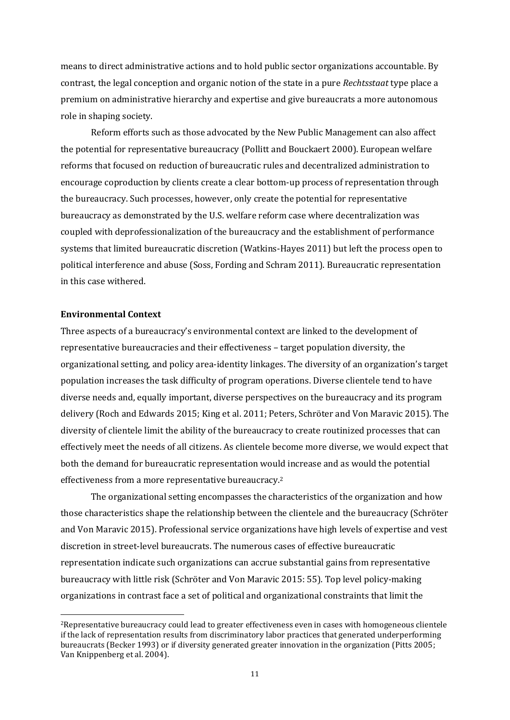means to direct administrative actions and to hold public sector organizations accountable. By contrast, the legal conception and organic notion of the state in a pure *Rechtsstaat* type place a premium on administrative hierarchy and expertise and give bureaucrats a more autonomous role in shaping society.

Reform efforts such as those advocated by the New Public Management can also affect the potential for representative bureaucracy (Pollitt and Bouckaert 2000). European welfare reforms that focused on reduction of bureaucratic rules and decentralized administration to encourage coproduction by clients create a clear bottom-up process of representation through the bureaucracy. Such processes, however, only create the potential for representative bureaucracy as demonstrated by the U.S. welfare reform case where decentralization was coupled with deprofessionalization of the bureaucracy and the establishment of performance systems that limited bureaucratic discretion (Watkins-Hayes 2011) but left the process open to political interference and abuse (Soss, Fording and Schram 2011). Bureaucratic representation in this case withered.

## **Environmental Context**

Three aspects of a bureaucracy's environmental context are linked to the development of representative bureaucracies and their effectiveness – target population diversity, the organizational setting, and policy area-identity linkages. The diversity of an organization's target population increases the task difficulty of program operations. Diverse clientele tend to have diverse needs and, equally important, diverse perspectives on the bureaucracy and its program delivery (Roch and Edwards 2015; King et al. 2011; Peters, Schröter and Von Maravic 2015). The diversity of clientele limit the ability of the bureaucracy to create routinized processes that can effectively meet the needs of all citizens. As clientele become more diverse, we would expect that both the demand for bureaucratic representation would increase and as would the potential effectiveness from a more representative bureaucracy.<sup>2</sup>

The organizational setting encompasses the characteristics of the organization and how those characteristics shape the relationship between the clientele and the bureaucracy (Schröter and Von Maravic 2015). Professional service organizations have high levels of expertise and vest discretion in street-level bureaucrats. The numerous cases of effective bureaucratic representation indicate such organizations can accrue substantial gains from representative bureaucracy with little risk (Schröter and Von Maravic 2015: 55). Top level policy-making organizations in contrast face a set of political and organizational constraints that limit the

<sup>2</sup>Representative bureaucracy could lead to greater effectiveness even in cases with homogeneous clientele if the lack of representation results from discriminatory labor practices that generated underperforming bureaucrats (Becker 1993) or if diversity generated greater innovation in the organization (Pitts 2005; Van Knippenberg et al. 2004).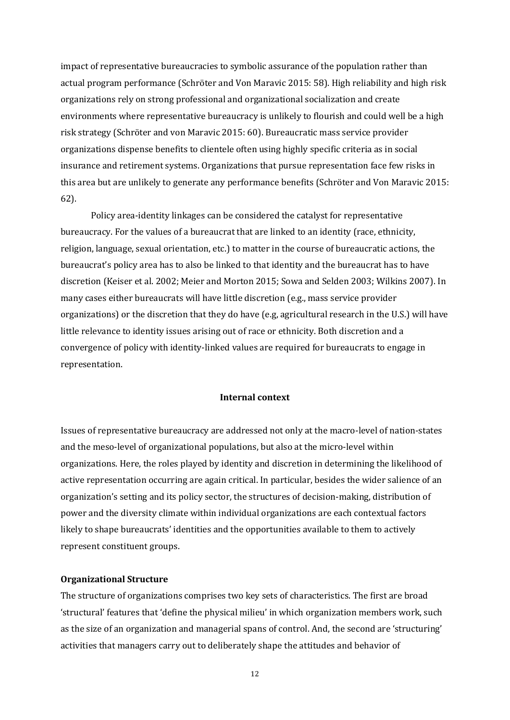impact of representative bureaucracies to symbolic assurance of the population rather than actual program performance (Schröter and Von Maravic 2015: 58). High reliability and high risk organizations rely on strong professional and organizational socialization and create environments where representative bureaucracy is unlikely to flourish and could well be a high risk strategy (Schröter and von Maravic 2015: 60). Bureaucratic mass service provider organizations dispense benefits to clientele often using highly specific criteria as in social insurance and retirement systems. Organizations that pursue representation face few risks in this area but are unlikely to generate any performance benefits (Schröter and Von Maravic 2015: 62).

Policy area-identity linkages can be considered the catalyst for representative bureaucracy. For the values of a bureaucrat that are linked to an identity (race, ethnicity, religion, language, sexual orientation, etc.) to matter in the course of bureaucratic actions, the bureaucrat's policy area has to also be linked to that identity and the bureaucrat has to have discretion (Keiser et al. 2002; Meier and Morton 2015; Sowa and Selden 2003; Wilkins 2007). In many cases either bureaucrats will have little discretion (e.g., mass service provider organizations) or the discretion that they do have (e.g, agricultural research in the U.S.) will have little relevance to identity issues arising out of race or ethnicity. Both discretion and a convergence of policy with identity-linked values are required for bureaucrats to engage in representation.

## **Internal context**

Issues of representative bureaucracy are addressed not only at the macro-level of nation-states and the meso-level of organizational populations, but also at the micro-level within organizations. Here, the roles played by identity and discretion in determining the likelihood of active representation occurring are again critical. In particular, besides the wider salience of an organization's setting and its policy sector, the structures of decision-making, distribution of power and the diversity climate within individual organizations are each contextual factors likely to shape bureaucrats' identities and the opportunities available to them to actively represent constituent groups.

#### **Organizational Structure**

The structure of organizations comprises two key sets of characteristics. The first are broad 'structural' features that 'define the physical milieu' in which organization members work, such as the size of an organization and managerial spans of control. And, the second are 'structuring' activities that managers carry out to deliberately shape the attitudes and behavior of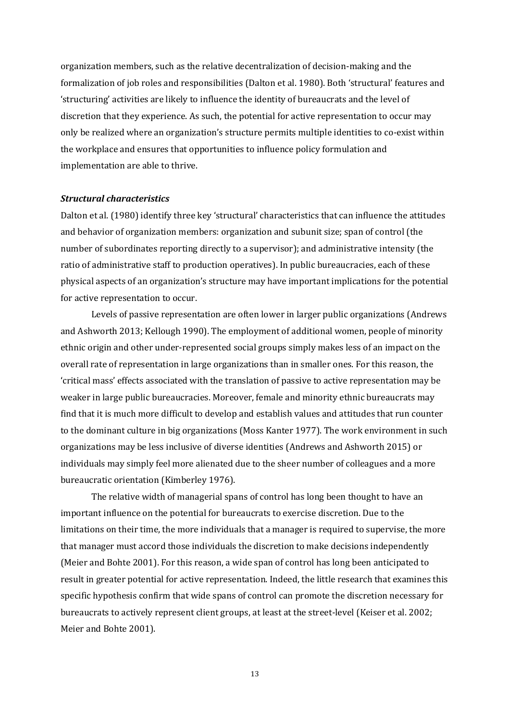organization members, such as the relative decentralization of decision-making and the formalization of job roles and responsibilities (Dalton et al. 1980). Both 'structural' features and 'structuring' activities are likely to influence the identity of bureaucrats and the level of discretion that they experience. As such, the potential for active representation to occur may only be realized where an organization's structure permits multiple identities to co-exist within the workplace and ensures that opportunities to influence policy formulation and implementation are able to thrive.

#### *Structural characteristics*

Dalton et al. (1980) identify three key 'structural' characteristics that can influence the attitudes and behavior of organization members: organization and subunit size; span of control (the number of subordinates reporting directly to a supervisor); and administrative intensity (the ratio of administrative staff to production operatives). In public bureaucracies, each of these physical aspects of an organization's structure may have important implications for the potential for active representation to occur.

Levels of passive representation are often lower in larger public organizations (Andrews and Ashworth 2013; Kellough 1990). The employment of additional women, people of minority ethnic origin and other under-represented social groups simply makes less of an impact on the overall rate of representation in large organizations than in smaller ones. For this reason, the 'critical mass' effects associated with the translation of passive to active representation may be weaker in large public bureaucracies. Moreover, female and minority ethnic bureaucrats may find that it is much more difficult to develop and establish values and attitudes that run counter to the dominant culture in big organizations (Moss Kanter 1977). The work environment in such organizations may be less inclusive of diverse identities (Andrews and Ashworth 2015) or individuals may simply feel more alienated due to the sheer number of colleagues and a more bureaucratic orientation (Kimberley 1976).

The relative width of managerial spans of control has long been thought to have an important influence on the potential for bureaucrats to exercise discretion. Due to the limitations on their time, the more individuals that a manager is required to supervise, the more that manager must accord those individuals the discretion to make decisions independently (Meier and Bohte 2001). For this reason, a wide span of control has long been anticipated to result in greater potential for active representation. Indeed, the little research that examines this specific hypothesis confirm that wide spans of control can promote the discretion necessary for bureaucrats to actively represent client groups, at least at the street-level (Keiser et al. 2002; Meier and Bohte 2001).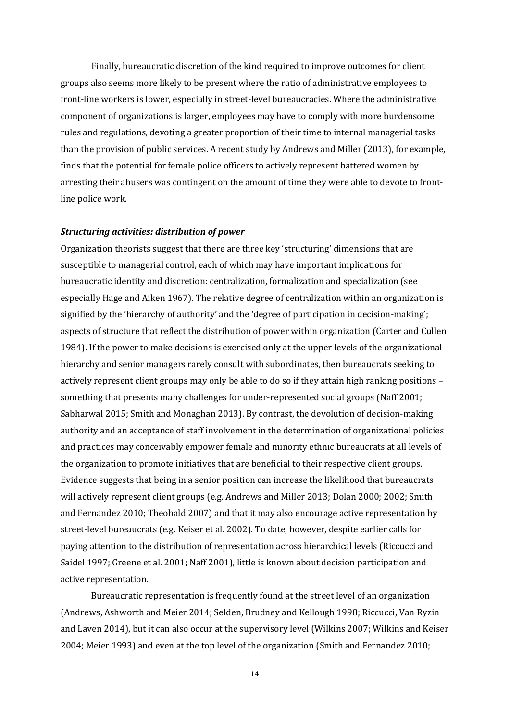Finally, bureaucratic discretion of the kind required to improve outcomes for client groups also seems more likely to be present where the ratio of administrative employees to front-line workers is lower, especially in street-level bureaucracies. Where the administrative component of organizations is larger, employees may have to comply with more burdensome rules and regulations, devoting a greater proportion of their time to internal managerial tasks than the provision of public services. A recent study by Andrews and Miller (2013), for example, finds that the potential for female police officers to actively represent battered women by arresting their abusers was contingent on the amount of time they were able to devote to frontline police work.

### *Structuring activities: distribution of power*

Organization theorists suggest that there are three key 'structuring' dimensions that are susceptible to managerial control, each of which may have important implications for bureaucratic identity and discretion: centralization, formalization and specialization (see especially Hage and Aiken 1967). The relative degree of centralization within an organization is signified by the 'hierarchy of authority' and the 'degree of participation in decision-making'; aspects of structure that reflect the distribution of power within organization (Carter and Cullen 1984). If the power to make decisions is exercised only at the upper levels of the organizational hierarchy and senior managers rarely consult with subordinates, then bureaucrats seeking to actively represent client groups may only be able to do so if they attain high ranking positions – something that presents many challenges for under-represented social groups (Naff 2001; Sabharwal 2015; Smith and Monaghan 2013). By contrast, the devolution of decision-making authority and an acceptance of staff involvement in the determination of organizational policies and practices may conceivably empower female and minority ethnic bureaucrats at all levels of the organization to promote initiatives that are beneficial to their respective client groups. Evidence suggests that being in a senior position can increase the likelihood that bureaucrats will actively represent client groups (e.g. Andrews and Miller 2013; Dolan 2000; 2002; Smith and Fernandez 2010; Theobald 2007) and that it may also encourage active representation by street-level bureaucrats (e.g. Keiser et al. 2002). To date, however, despite earlier calls for paying attention to the distribution of representation across hierarchical levels (Riccucci and Saidel 1997; Greene et al. 2001; Naff 2001), little is known about decision participation and active representation.

Bureaucratic representation is frequently found at the street level of an organization (Andrews, Ashworth and Meier 2014; Selden, Brudney and Kellough 1998; Riccucci, Van Ryzin and Laven 2014), but it can also occur at the supervisory level (Wilkins 2007; Wilkins and Keiser 2004; Meier 1993) and even at the top level of the organization (Smith and Fernandez 2010;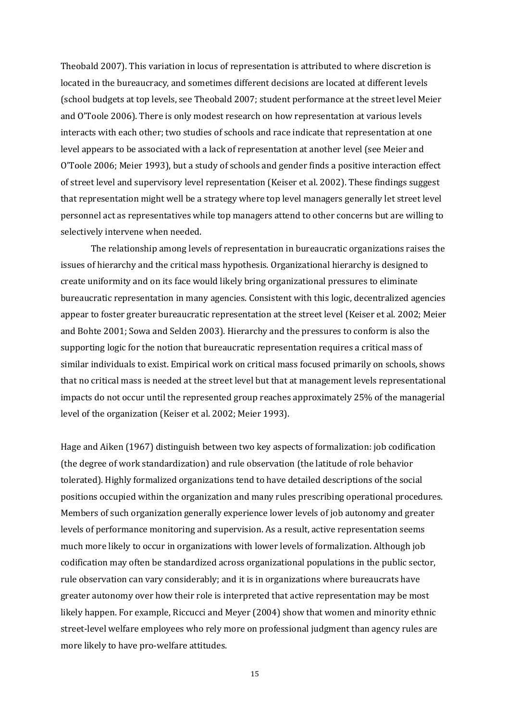Theobald 2007). This variation in locus of representation is attributed to where discretion is located in the bureaucracy, and sometimes different decisions are located at different levels (school budgets at top levels, see Theobald 2007; student performance at the street level Meier and O'Toole 2006). There is only modest research on how representation at various levels interacts with each other; two studies of schools and race indicate that representation at one level appears to be associated with a lack of representation at another level (see Meier and O'Toole 2006; Meier 1993), but a study of schools and gender finds a positive interaction effect of street level and supervisory level representation (Keiser et al. 2002). These findings suggest that representation might well be a strategy where top level managers generally let street level personnel act as representatives while top managers attend to other concerns but are willing to selectively intervene when needed.

The relationship among levels of representation in bureaucratic organizations raises the issues of hierarchy and the critical mass hypothesis. Organizational hierarchy is designed to create uniformity and on its face would likely bring organizational pressures to eliminate bureaucratic representation in many agencies. Consistent with this logic, decentralized agencies appear to foster greater bureaucratic representation at the street level (Keiser et al. 2002; Meier and Bohte 2001; Sowa and Selden 2003). Hierarchy and the pressures to conform is also the supporting logic for the notion that bureaucratic representation requires a critical mass of similar individuals to exist. Empirical work on critical mass focused primarily on schools, shows that no critical mass is needed at the street level but that at management levels representational impacts do not occur until the represented group reaches approximately 25% of the managerial level of the organization (Keiser et al. 2002; Meier 1993).

Hage and Aiken (1967) distinguish between two key aspects of formalization: job codification (the degree of work standardization) and rule observation (the latitude of role behavior tolerated). Highly formalized organizations tend to have detailed descriptions of the social positions occupied within the organization and many rules prescribing operational procedures. Members of such organization generally experience lower levels of job autonomy and greater levels of performance monitoring and supervision. As a result, active representation seems much more likely to occur in organizations with lower levels of formalization. Although job codification may often be standardized across organizational populations in the public sector, rule observation can vary considerably; and it is in organizations where bureaucrats have greater autonomy over how their role is interpreted that active representation may be most likely happen. For example, Riccucci and Meyer (2004) show that women and minority ethnic street-level welfare employees who rely more on professional judgment than agency rules are more likely to have pro-welfare attitudes.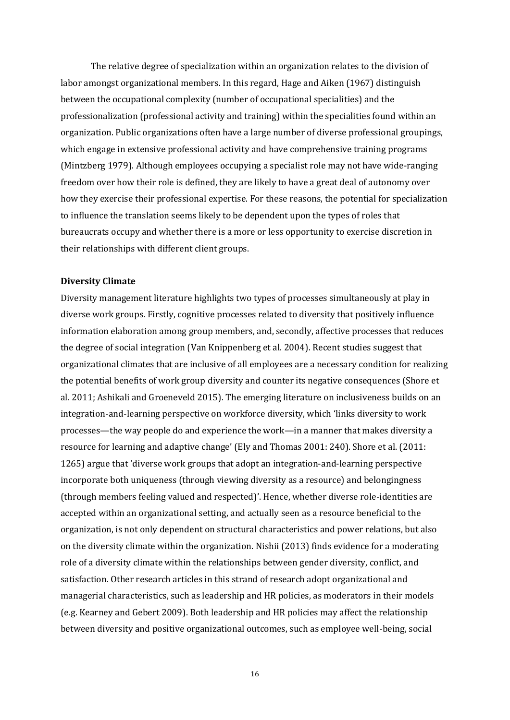The relative degree of specialization within an organization relates to the division of labor amongst organizational members. In this regard, Hage and Aiken (1967) distinguish between the occupational complexity (number of occupational specialities) and the professionalization (professional activity and training) within the specialities found within an organization. Public organizations often have a large number of diverse professional groupings, which engage in extensive professional activity and have comprehensive training programs (Mintzberg 1979). Although employees occupying a specialist role may not have wide-ranging freedom over how their role is defined, they are likely to have a great deal of autonomy over how they exercise their professional expertise. For these reasons, the potential for specialization to influence the translation seems likely to be dependent upon the types of roles that bureaucrats occupy and whether there is a more or less opportunity to exercise discretion in their relationships with different client groups.

#### **Diversity Climate**

Diversity management literature highlights two types of processes simultaneously at play in diverse work groups. Firstly, cognitive processes related to diversity that positively influence information elaboration among group members, and, secondly, affective processes that reduces the degree of social integration (Van Knippenberg et al. 2004). Recent studies suggest that organizational climates that are inclusive of all employees are a necessary condition for realizing the potential benefits of work group diversity and counter its negative consequences (Shore et al. 2011; Ashikali and Groeneveld 2015). The emerging literature on inclusiveness builds on an integration-and-learning perspective on workforce diversity, which 'links diversity to work processes—the way people do and experience the work—in a manner that makes diversity a resource for learning and adaptive change' (Ely and Thomas 2001: 240). Shore et al. (2011: 1265) argue that 'diverse work groups that adopt an integration-and-learning perspective incorporate both uniqueness (through viewing diversity as a resource) and belongingness (through members feeling valued and respected)'. Hence, whether diverse role-identities are accepted within an organizational setting, and actually seen as a resource beneficial to the organization, is not only dependent on structural characteristics and power relations, but also on the diversity climate within the organization. Nishii (2013) finds evidence for a moderating role of a diversity climate within the relationships between gender diversity, conflict, and satisfaction. Other research articles in this strand of research adopt organizational and managerial characteristics, such as leadership and HR policies, as moderators in their models (e.g. Kearney and Gebert 2009). Both leadership and HR policies may affect the relationship between diversity and positive organizational outcomes, such as employee well-being, social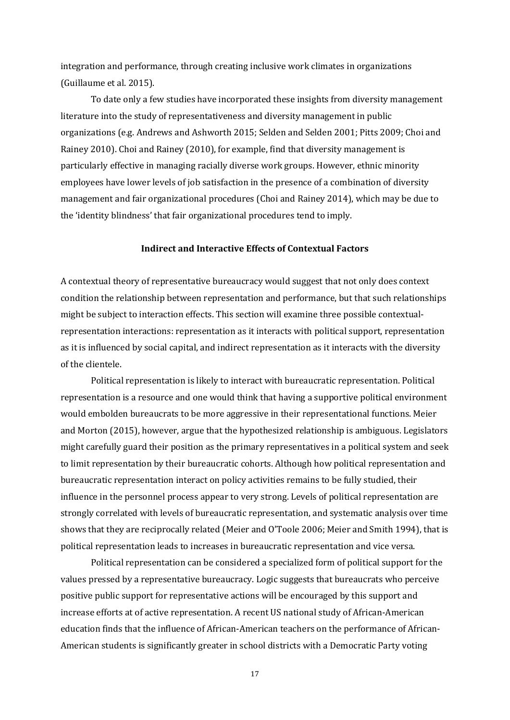integration and performance, through creating inclusive work climates in organizations (Guillaume et al. 2015).

To date only a few studies have incorporated these insights from diversity management literature into the study of representativeness and diversity management in public organizations (e.g. Andrews and Ashworth 2015; Selden and Selden 2001; Pitts 2009; Choi and Rainey 2010). Choi and Rainey (2010), for example, find that diversity management is particularly effective in managing racially diverse work groups. However, ethnic minority employees have lower levels of job satisfaction in the presence of a combination of diversity management and fair organizational procedures (Choi and Rainey 2014), which may be due to the 'identity blindness' that fair organizational procedures tend to imply.

#### **Indirect and Interactive Effects of Contextual Factors**

A contextual theory of representative bureaucracy would suggest that not only does context condition the relationship between representation and performance, but that such relationships might be subject to interaction effects. This section will examine three possible contextualrepresentation interactions: representation as it interacts with political support, representation as it is influenced by social capital, and indirect representation as it interacts with the diversity of the clientele.

Political representation is likely to interact with bureaucratic representation. Political representation is a resource and one would think that having a supportive political environment would embolden bureaucrats to be more aggressive in their representational functions. Meier and Morton (2015), however, argue that the hypothesized relationship is ambiguous. Legislators might carefully guard their position as the primary representatives in a political system and seek to limit representation by their bureaucratic cohorts. Although how political representation and bureaucratic representation interact on policy activities remains to be fully studied, their influence in the personnel process appear to very strong. Levels of political representation are strongly correlated with levels of bureaucratic representation, and systematic analysis over time shows that they are reciprocally related (Meier and O'Toole 2006; Meier and Smith 1994), that is political representation leads to increases in bureaucratic representation and vice versa.

Political representation can be considered a specialized form of political support for the values pressed by a representative bureaucracy. Logic suggests that bureaucrats who perceive positive public support for representative actions will be encouraged by this support and increase efforts at of active representation. A recent US national study of African-American education finds that the influence of African-American teachers on the performance of African-American students is significantly greater in school districts with a Democratic Party voting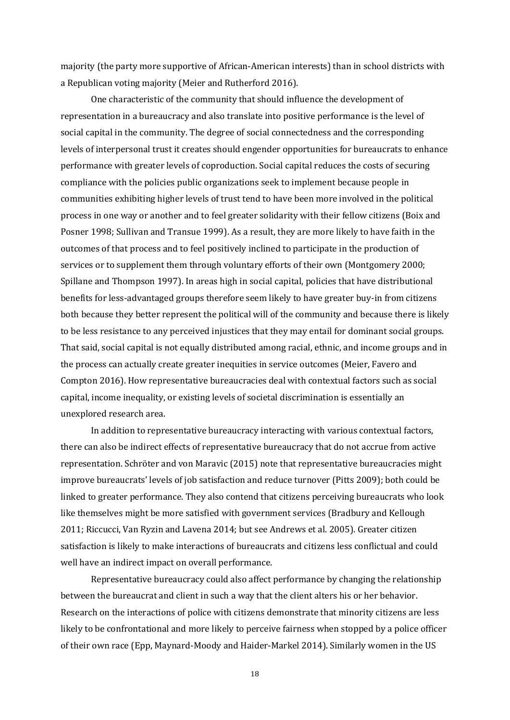majority (the party more supportive of African-American interests) than in school districts with a Republican voting majority (Meier and Rutherford 2016).

One characteristic of the community that should influence the development of representation in a bureaucracy and also translate into positive performance is the level of social capital in the community. The degree of social connectedness and the corresponding levels of interpersonal trust it creates should engender opportunities for bureaucrats to enhance performance with greater levels of coproduction. Social capital reduces the costs of securing compliance with the policies public organizations seek to implement because people in communities exhibiting higher levels of trust tend to have been more involved in the political process in one way or another and to feel greater solidarity with their fellow citizens (Boix and Posner 1998; Sullivan and Transue 1999). As a result, they are more likely to have faith in the outcomes of that process and to feel positively inclined to participate in the production of services or to supplement them through voluntary efforts of their own (Montgomery 2000; Spillane and Thompson 1997). In areas high in social capital, policies that have distributional benefits for less-advantaged groups therefore seem likely to have greater buy-in from citizens both because they better represent the political will of the community and because there is likely to be less resistance to any perceived injustices that they may entail for dominant social groups. That said, social capital is not equally distributed among racial, ethnic, and income groups and in the process can actually create greater inequities in service outcomes (Meier, Favero and Compton 2016). How representative bureaucracies deal with contextual factors such as social capital, income inequality, or existing levels of societal discrimination is essentially an unexplored research area.

In addition to representative bureaucracy interacting with various contextual factors, there can also be indirect effects of representative bureaucracy that do not accrue from active representation. Schröter and von Maravic (2015) note that representative bureaucracies might improve bureaucrats' levels of job satisfaction and reduce turnover (Pitts 2009); both could be linked to greater performance. They also contend that citizens perceiving bureaucrats who look like themselves might be more satisfied with government services (Bradbury and Kellough 2011; Riccucci, Van Ryzin and Lavena 2014; but see Andrews et al. 2005). Greater citizen satisfaction is likely to make interactions of bureaucrats and citizens less conflictual and could well have an indirect impact on overall performance.

Representative bureaucracy could also affect performance by changing the relationship between the bureaucrat and client in such a way that the client alters his or her behavior. Research on the interactions of police with citizens demonstrate that minority citizens are less likely to be confrontational and more likely to perceive fairness when stopped by a police officer of their own race (Epp, Maynard-Moody and Haider-Markel 2014). Similarly women in the US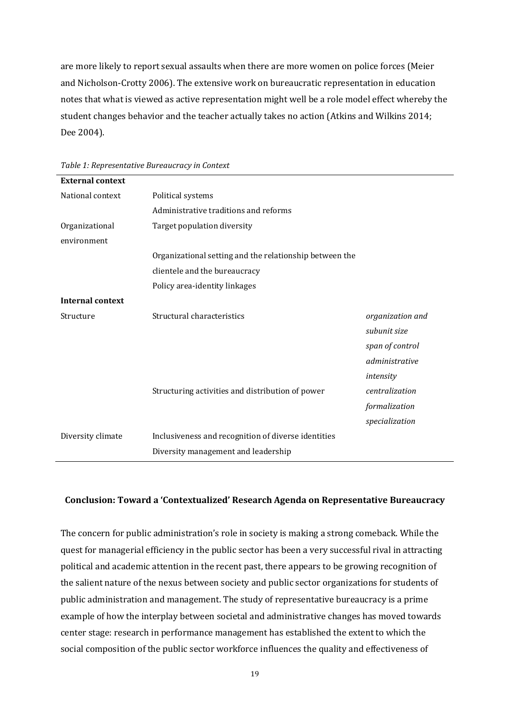are more likely to report sexual assaults when there are more women on police forces (Meier and Nicholson-Crotty 2006). The extensive work on bureaucratic representation in education notes that what is viewed as active representation might well be a role model effect whereby the student changes behavior and the teacher actually takes no action (Atkins and Wilkins 2014; Dee 2004).

| <b>External context</b> |                                                         |                  |
|-------------------------|---------------------------------------------------------|------------------|
| National context        | Political systems                                       |                  |
|                         | Administrative traditions and reforms                   |                  |
| Organizational          | Target population diversity                             |                  |
| environment             |                                                         |                  |
|                         | Organizational setting and the relationship between the |                  |
|                         | clientele and the bureaucracy                           |                  |
|                         | Policy area-identity linkages                           |                  |
| <b>Internal context</b> |                                                         |                  |
| Structure               | Structural characteristics                              | organization and |
|                         |                                                         | subunit size     |
|                         |                                                         | span of control  |
|                         |                                                         | administrative   |
|                         |                                                         | intensity        |
|                         | Structuring activities and distribution of power        | centralization   |
|                         |                                                         | formalization    |
|                         |                                                         | specialization   |
| Diversity climate       | Inclusiveness and recognition of diverse identities     |                  |
|                         | Diversity management and leadership                     |                  |

*Table 1: Representative Bureaucracy in Context*

## **Conclusion: Toward a 'Contextualized' Research Agenda on Representative Bureaucracy**

The concern for public administration's role in society is making a strong comeback. While the quest for managerial efficiency in the public sector has been a very successful rival in attracting political and academic attention in the recent past, there appears to be growing recognition of the salient nature of the nexus between society and public sector organizations for students of public administration and management. The study of representative bureaucracy is a prime example of how the interplay between societal and administrative changes has moved towards center stage: research in performance management has established the extent to which the social composition of the public sector workforce influences the quality and effectiveness of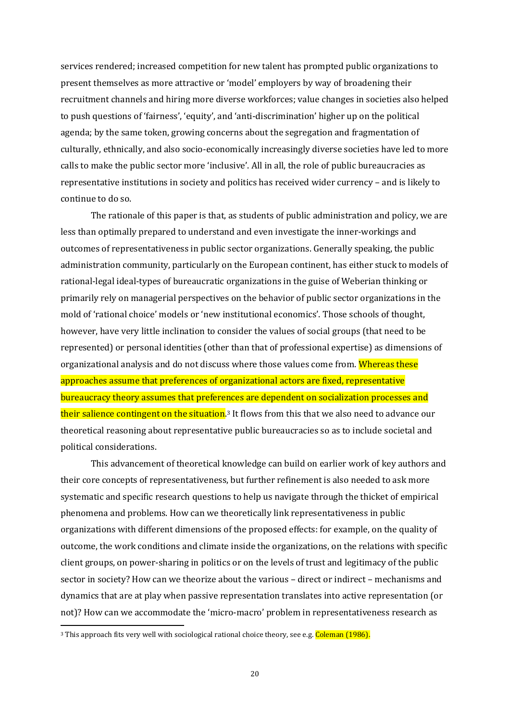services rendered; increased competition for new talent has prompted public organizations to present themselves as more attractive or 'model' employers by way of broadening their recruitment channels and hiring more diverse workforces; value changes in societies also helped to push questions of 'fairness', 'equity', and 'anti-discrimination' higher up on the political agenda; by the same token, growing concerns about the segregation and fragmentation of culturally, ethnically, and also socio-economically increasingly diverse societies have led to more calls to make the public sector more 'inclusive'. All in all, the role of public bureaucracies as representative institutions in society and politics has received wider currency – and is likely to continue to do so.

The rationale of this paper is that, as students of public administration and policy, we are less than optimally prepared to understand and even investigate the inner-workings and outcomes of representativeness in public sector organizations. Generally speaking, the public administration community, particularly on the European continent, has either stuck to models of rational-legal ideal-types of bureaucratic organizations in the guise of Weberian thinking or primarily rely on managerial perspectives on the behavior of public sector organizations in the mold of 'rational choice' models or 'new institutional economics'. Those schools of thought, however, have very little inclination to consider the values of social groups (that need to be represented) or personal identities (other than that of professional expertise) as dimensions of organizational analysis and do not discuss where those values come from. Whereas these approaches assume that preferences of organizational actors are fixed, representative bureaucracy theory assumes that preferences are dependent on socialization processes and their salience contingent on the situation.<sup>3</sup> It flows from this that we also need to advance our theoretical reasoning about representative public bureaucracies so as to include societal and political considerations.

This advancement of theoretical knowledge can build on earlier work of key authors and their core concepts of representativeness, but further refinement is also needed to ask more systematic and specific research questions to help us navigate through the thicket of empirical phenomena and problems. How can we theoretically link representativeness in public organizations with different dimensions of the proposed effects: for example, on the quality of outcome, the work conditions and climate inside the organizations, on the relations with specific client groups, on power-sharing in politics or on the levels of trust and legitimacy of the public sector in society? How can we theorize about the various – direct or indirect – mechanisms and dynamics that are at play when passive representation translates into active representation (or not)? How can we accommodate the 'micro-macro' problem in representativeness research as

<sup>&</sup>lt;sup>3</sup> This approach fits very well with sociological rational choice theory, see e.g. Coleman (1986).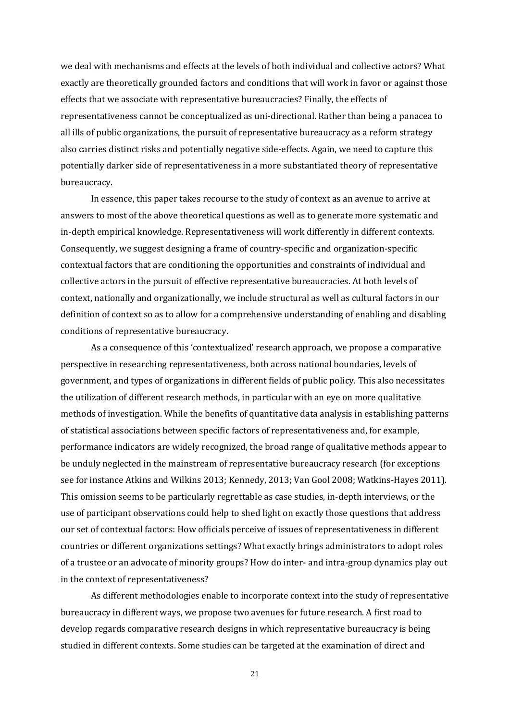we deal with mechanisms and effects at the levels of both individual and collective actors? What exactly are theoretically grounded factors and conditions that will work in favor or against those effects that we associate with representative bureaucracies? Finally, the effects of representativeness cannot be conceptualized as uni-directional. Rather than being a panacea to all ills of public organizations, the pursuit of representative bureaucracy as a reform strategy also carries distinct risks and potentially negative side-effects. Again, we need to capture this potentially darker side of representativeness in a more substantiated theory of representative bureaucracy.

In essence, this paper takes recourse to the study of context as an avenue to arrive at answers to most of the above theoretical questions as well as to generate more systematic and in-depth empirical knowledge. Representativeness will work differently in different contexts. Consequently, we suggest designing a frame of country-specific and organization-specific contextual factors that are conditioning the opportunities and constraints of individual and collective actors in the pursuit of effective representative bureaucracies. At both levels of context, nationally and organizationally, we include structural as well as cultural factors in our definition of context so as to allow for a comprehensive understanding of enabling and disabling conditions of representative bureaucracy.

As a consequence of this 'contextualized' research approach, we propose a comparative perspective in researching representativeness, both across national boundaries, levels of government, and types of organizations in different fields of public policy. This also necessitates the utilization of different research methods, in particular with an eye on more qualitative methods of investigation. While the benefits of quantitative data analysis in establishing patterns of statistical associations between specific factors of representativeness and, for example, performance indicators are widely recognized, the broad range of qualitative methods appear to be unduly neglected in the mainstream of representative bureaucracy research (for exceptions see for instance Atkins and Wilkins 2013; Kennedy, 2013; Van Gool 2008; Watkins-Hayes 2011). This omission seems to be particularly regrettable as case studies, in-depth interviews, or the use of participant observations could help to shed light on exactly those questions that address our set of contextual factors: How officials perceive of issues of representativeness in different countries or different organizations settings? What exactly brings administrators to adopt roles of a trustee or an advocate of minority groups? How do inter- and intra-group dynamics play out in the context of representativeness?

As different methodologies enable to incorporate context into the study of representative bureaucracy in different ways, we propose two avenues for future research. A first road to develop regards comparative research designs in which representative bureaucracy is being studied in different contexts. Some studies can be targeted at the examination of direct and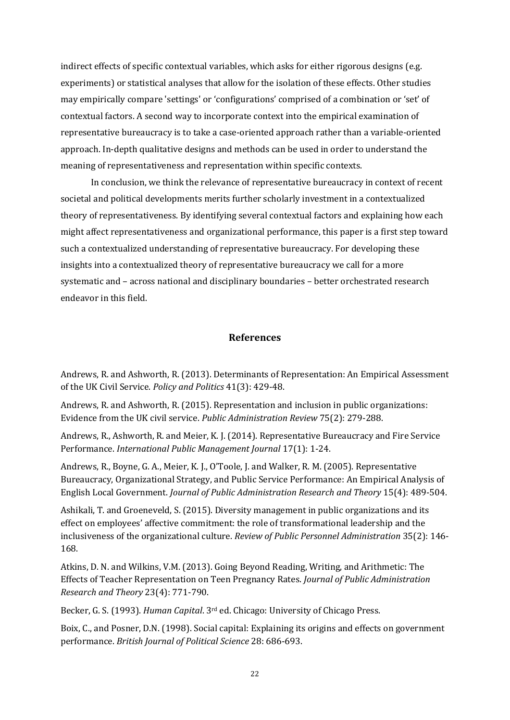indirect effects of specific contextual variables, which asks for either rigorous designs (e.g. experiments) or statistical analyses that allow for the isolation of these effects. Other studies may empirically compare 'settings' or 'configurations' comprised of a combination or 'set' of contextual factors. A second way to incorporate context into the empirical examination of representative bureaucracy is to take a case-oriented approach rather than a variable-oriented approach. In-depth qualitative designs and methods can be used in order to understand the meaning of representativeness and representation within specific contexts.

In conclusion, we think the relevance of representative bureaucracy in context of recent societal and political developments merits further scholarly investment in a contextualized theory of representativeness. By identifying several contextual factors and explaining how each might affect representativeness and organizational performance, this paper is a first step toward such a contextualized understanding of representative bureaucracy. For developing these insights into a contextualized theory of representative bureaucracy we call for a more systematic and – across national and disciplinary boundaries – better orchestrated research endeavor in this field.

## **References**

Andrews, R. and Ashworth, R. (2013). Determinants of Representation: An Empirical Assessment of the UK Civil Service. *Policy and Politics* 41(3): 429-48.

Andrews, R. and Ashworth, R. (2015). Representation and inclusion in public organizations: Evidence from the UK civil service. *Public Administration Review* 75(2): 279-288.

Andrews, R., Ashworth, R. and Meier, K. J. (2014). Representative Bureaucracy and Fire Service Performance. *International Public Management Journal* 17(1): 1-24.

Andrews, R., Boyne, G. A., Meier, K. J., O'Toole, J. and Walker, R. M. (2005). Representative Bureaucracy, Organizational Strategy, and Public Service Performance: An Empirical Analysis of English Local Government. *Journal of Public Administration Research and Theory* 15(4): 489-504.

Ashikali, T. and Groeneveld, S. (2015). Diversity management in public organizations and its effect on employees' affective commitment: the role of transformational leadership and the inclusiveness of the organizational culture. *Review of Public Personnel Administration* 35(2): 146- 168.

Atkins, D. N. and Wilkins, V.M. (2013). Going Beyond Reading, Writing, and Arithmetic: The Effects of Teacher Representation on Teen Pregnancy Rates. *Journal of Public Administration Research and Theory* 23(4): 771-790.

Becker, G. S. (1993). *Human Capital*. 3rd ed. Chicago: University of Chicago Press.

Boix, C., and Posner, D.N. (1998). Social capital: Explaining its origins and effects on government performance. *British Journal of Political Science* 28: 686-693.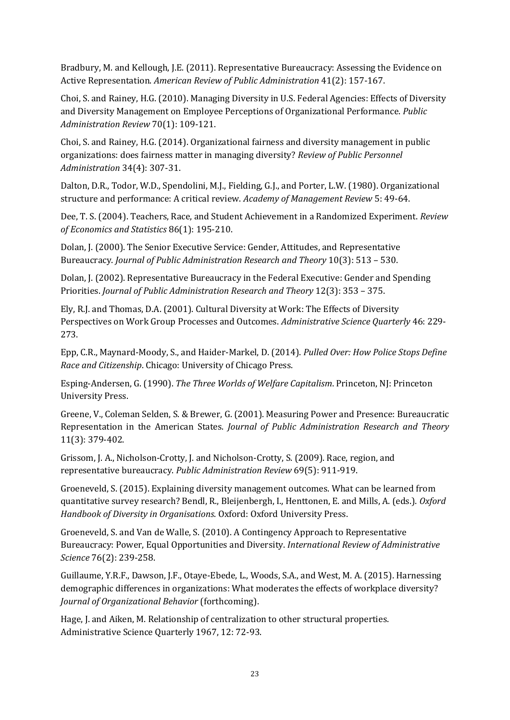Bradbury, M. and Kellough, J.E. (2011). Representative Bureaucracy: Assessing the Evidence on Active Representation. *American Review of Public Administration* 41(2): 157-167.

Choi, S. and Rainey, H.G. (2010). Managing Diversity in U.S. Federal Agencies: Effects of Diversity and Diversity Management on Employee Perceptions of Organizational Performance. *Public Administration Review* 70(1): 109-121.

Choi, S. and Rainey, H.G. (2014). Organizational fairness and diversity management in public organizations: does fairness matter in managing diversity? *Review of Public Personnel Administration* 34(4): 307-31.

Dalton, D.R., Todor, W.D., Spendolini, M.J., Fielding, G.J., and Porter, L.W. (1980). Organizational structure and performance: A critical review. *Academy of Management Review* 5: 49-64.

Dee, T. S. (2004). Teachers, Race, and Student Achievement in a Randomized Experiment. *Review of Economics and Statistics* 86(1): 195-210.

Dolan, J. (2000). The Senior Executive Service: Gender, Attitudes, and Representative Bureaucracy. *Journal of Public Administration Research and Theory* 10(3): 513 – 530.

Dolan, J. (2002). Representative Bureaucracy in the Federal Executive: Gender and Spending Priorities. *Journal of Public Administration Research and Theory* 12(3): 353 – 375.

Ely, R.J. and Thomas, D.A. (2001). Cultural Diversity at Work: The Effects of Diversity Perspectives on Work Group Processes and Outcomes. *Administrative Science Quarterly* 46: 229- 273.

Epp, C.R., Maynard-Moody, S., and Haider-Markel, D. (2014). *Pulled Over: How Police Stops Define Race and Citizenship*. Chicago: University of Chicago Press.

Esping-Andersen, G. (1990). *The Three Worlds of Welfare Capitalism*. Princeton, NJ: Princeton University Press.

Greene, V., Coleman Selden, S. & Brewer, G. (2001). Measuring Power and Presence: Bureaucratic Representation in the American States. *Journal of Public Administration Research and Theory* 11(3): 379-402.

Grissom, J. A., Nicholson-Crotty, J. and Nicholson-Crotty, S. (2009). Race, region, and representative bureaucracy. *Public Administration Review* 69(5): 911-919.

Groeneveld, S. (2015). Explaining diversity management outcomes. What can be learned from quantitative survey research? Bendl, R., Bleijenbergh, I., Henttonen, E. and Mills, A. (eds.). *Oxford Handbook of Diversity in Organisations*. Oxford: Oxford University Press.

Groeneveld, S. and Van de Walle, S. (2010). A Contingency Approach to Representative Bureaucracy: Power, Equal Opportunities and Diversity. *International Review of Administrative Science* 76(2): 239-258.

Guillaume, Y.R.F., Dawson, J.F., Otaye-Ebede, L., Woods, S.A., and West, M. A. (2015). Harnessing demographic differences in organizations: What moderates the effects of workplace diversity? *Journal of Organizational Behavior* (forthcoming).

Hage, J. and Aiken, M. Relationship of centralization to other structural properties. Administrative Science Quarterly 1967, 12: 72-93.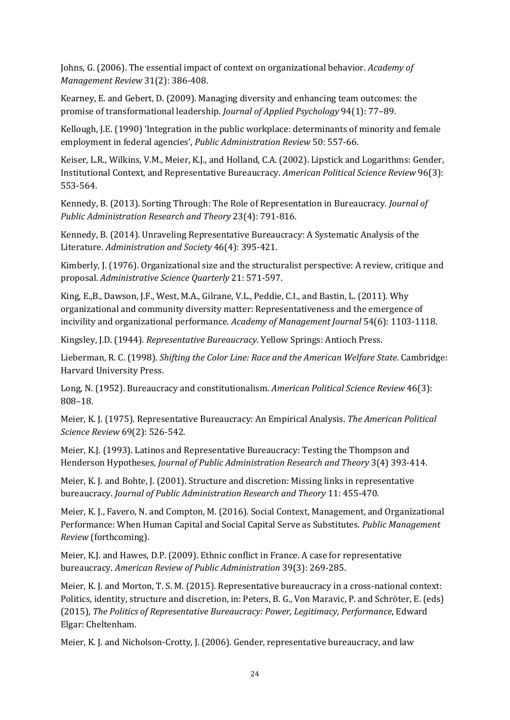Johns, G. (2006). The essential impact of context on organizational behavior. *Academy of Management Review* 31(2): 386-408.

Kearney, E. and Gebert, D. (2009). Managing diversity and enhancing team outcomes: the promise of transformational leadership. *Journal of Applied Psychology* 94(1): 77–89.

Kellough, J.E. (1990) 'Integration in the public workplace: determinants of minority and female employment in federal agencies', *Public Administration Review* 50: 557-66.

Keiser, L.R., Wilkins, V.M., Meier, K.J., and Holland, C.A. (2002). Lipstick and Logarithms: Gender, Institutional Context, and Representative Bureaucracy. *American Political Science Review* 96(3): 553-564.

Kennedy, B. (2013). Sorting Through: The Role of Representation in Bureaucracy. *Journal of Public Administration Research and Theory* 23(4): 791-816.

Kennedy, B. (2014). Unraveling Representative Bureaucracy: A Systematic Analysis of the Literature. *Administration and Society* 46(4): 395-421.

Kimberly, J. (1976). Organizational size and the structuralist perspective: A review, critique and proposal. *Administrative Science Quarterly* 21: 571-597.

King, E.,B., Dawson, J.F., West, M.A., Gilrane, V.L., Peddie, C.I., and Bastin, L. (2011). Why organizational and community diversity matter: Representativeness and the emergence of incivility and organizational performance. *Academy of Management Journal* 54(6): 1103-1118.

Kingsley, J.D. (1944). *Representative Bureaucracy*. Yellow Springs: Antioch Press.

Lieberman, R. C. (1998). *Shifting the Color Line: Race and the American Welfare State*. Cambridge: Harvard University Press.

Long, N. (1952). Bureaucracy and constitutionalism. *American Political Science Review* 46(3): 808–18.

Meier, K. J. (1975). Representative Bureaucracy: An Empirical Analysis. *The American Political Science Review* 69(2): 526-542.

Meier, K.J. (1993). Latinos and Representative Bureaucracy: Testing the Thompson and Henderson Hypotheses, *Journal of Public Administration Research and Theory* 3(4) 393-414.

Meier, K. J. and Bohte, J. (2001). Structure and discretion: Missing links in representative bureaucracy. *Journal of Public Administration Research and Theory* 11: 455-470.

Meier, K. J., Favero, N. and Compton, M. (2016). Social Context, Management, and Organizational Performance: When Human Capital and Social Capital Serve as Substitutes. *Public Management Review* (forthcoming).

Meier, K.J. and Hawes, D.P. (2009). Ethnic conflict in France. A case for representative bureaucracy. *American Review of Public Administration* 39(3): 269-285.

Meier, K. J. and Morton, T. S. M. (2015). Representative bureaucracy in a cross-national context: Politics, identity, structure and discretion, in: Peters, B. G., Von Maravic, P. and Schröter, E. (eds) (2015), *The Politics of Representative Bureaucracy: Power, Legitimacy, Performance*, Edward Elgar: Cheltenham.

Meier, K. J. and Nicholson-Crotty, J. (2006). Gender, representative bureaucracy, and law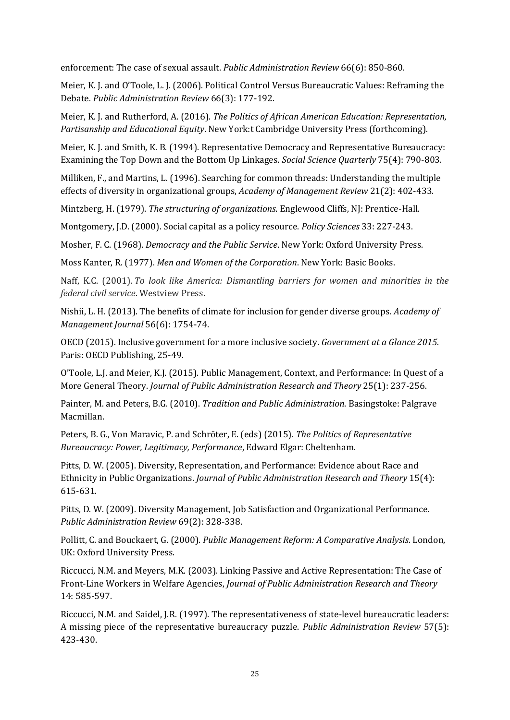enforcement: The case of sexual assault. *Public Administration Review* 66(6): 850-860.

Meier, K. J. and O'Toole, L. J. (2006). Political Control Versus Bureaucratic Values: Reframing the Debate. *Public Administration Review* 66(3): 177-192.

Meier, K. J. and Rutherford, A. (2016). *The Politics of African American Education: Representation, Partisanship and Educational Equity*. New York:t Cambridge University Press (forthcoming).

Meier, K. J. and Smith, K. B. (1994). Representative Democracy and Representative Bureaucracy: Examining the Top Down and the Bottom Up Linkages. *Social Science Quarterly* 75(4): 790-803.

Milliken, F., and Martins, L. (1996). Searching for common threads: Understanding the multiple effects of diversity in organizational groups, *Academy of Management Review* 21(2): 402-433.

Mintzberg, H. (1979). *The structuring of organizations*. Englewood Cliffs, NJ: Prentice-Hall.

Montgomery, J.D. (2000). Social capital as a policy resource. *Policy Sciences* 33: 227-243.

Mosher, F. C. (1968). *Democracy and the Public Service*. New York: Oxford University Press.

Moss Kanter, R. (1977). *Men and Women of the Corporation*. New York: Basic Books.

Naff, K.C. (2001). *To look like America: Dismantling barriers for women and minorities in the federal civil service*. Westview Press.

Nishii, L. H. (2013). The benefits of climate for inclusion for gender diverse groups. *Academy of Management Journal* 56(6): 1754-74.

OECD (2015). Inclusive government for a more inclusive society. *Government at a Glance 2015*. Paris: OECD Publishing, 25-49.

O'Toole, L.J. and Meier, K.J. (2015). Public Management, Context, and Performance: In Quest of a More General Theory. *Journal of Public Administration Research and Theory* 25(1): 237-256.

Painter, M. and Peters, B.G. (2010). *Tradition and Public Administration*. Basingstoke: Palgrave Macmillan.

Peters, B. G., Von Maravic, P. and Schröter, E. (eds) (2015). *The Politics of Representative Bureaucracy: Power, Legitimacy, Performance*, Edward Elgar: Cheltenham.

Pitts, D. W. (2005). Diversity, Representation, and Performance: Evidence about Race and Ethnicity in Public Organizations. *Journal of Public Administration Research and Theory* 15(4): 615-631.

Pitts, D. W. (2009). Diversity Management, Job Satisfaction and Organizational Performance. *Public Administration Review* 69(2): 328-338.

Pollitt, C. and Bouckaert, G. (2000). *Public Management Reform: A Comparative Analysis*. London, UK: Oxford University Press.

Riccucci, N.M. and Meyers, M.K. (2003). Linking Passive and Active Representation: The Case of Front-Line Workers in Welfare Agencies, *Journal of Public Administration Research and Theory* 14: 585-597.

Riccucci, N.M. and Saidel, J.R. (1997). The representativeness of state-level bureaucratic leaders: A missing piece of the representative bureaucracy puzzle. *Public Administration Review* 57(5): 423-430.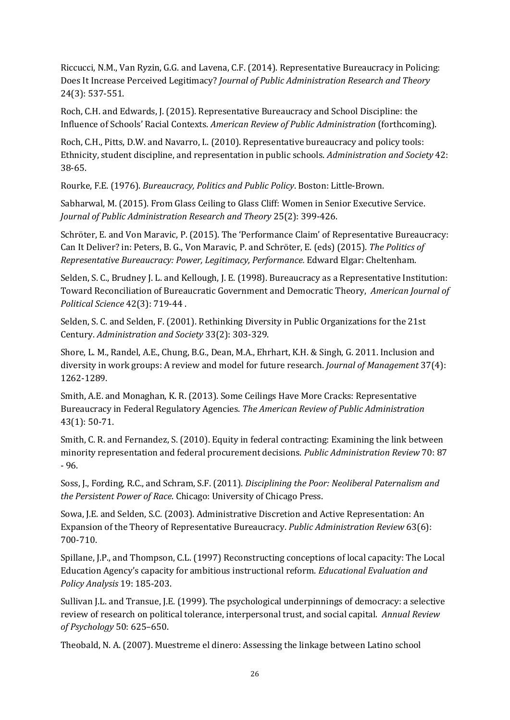Riccucci, N.M., Van Ryzin, G.G. and Lavena, C.F. (2014). Representative Bureaucracy in Policing: Does It Increase Perceived Legitimacy? *Journal of Public Administration Research and Theory* 24(3): 537-551.

Roch, C.H. and Edwards, J. (2015). Representative Bureaucracy and School Discipline: the Influence of Schools' Racial Contexts. *American Review of Public Administration* (forthcoming).

Roch, C.H., Pitts, D.W. and Navarro, I.. (2010). Representative bureaucracy and policy tools: Ethnicity, student discipline, and representation in public schools. *Administration and Society* 42: 38-65.

Rourke, F.E. (1976). *Bureaucracy, Politics and Public Policy*. Boston: Little-Brown.

Sabharwal, M. (2015). From Glass Ceiling to Glass Cliff: Women in Senior Executive Service. *Journal of Public Administration Research and Theory* 25(2): 399-426.

Schröter, E. and Von Maravic, P. (2015). The 'Performance Claim' of Representative Bureaucracy: Can It Deliver? in: Peters, B. G., Von Maravic, P. and Schröter, E. (eds) (2015). *The Politics of Representative Bureaucracy: Power, Legitimacy, Performance.* Edward Elgar: Cheltenham.

Selden, S. C., Brudney J. L. and Kellough, J. E. (1998). Bureaucracy as a Representative Institution: Toward Reconciliation of Bureaucratic Government and Democratic Theory, *American Journal of Political Science* 42(3): 719-44 .

Selden, S. C. and Selden, F. (2001). Rethinking Diversity in Public Organizations for the 21st Century. *Administration and Society* 33(2): 303-329.

Shore, L. M., Randel, A.E., Chung, B.G., Dean, M.A., Ehrhart, K.H. & Singh, G. 2011. Inclusion and diversity in work groups: A review and model for future research. *Journal of Management* 37(4): 1262-1289.

Smith, A.E. and Monaghan, K. R. (2013). Some Ceilings Have More Cracks: Representative Bureaucracy in Federal Regulatory Agencies. *The American Review of Public Administration*  43(1): 50-71.

Smith, C. R. and Fernandez, S. (2010). Equity in federal contracting: Examining the link between minority representation and federal procurement decisions. *Public Administration Review* 70: 87 - 96.

Soss, J., Fording, R.C., and Schram, S.F. (2011). *Disciplining the Poor: Neoliberal Paternalism and the Persistent Power of Race*. Chicago: University of Chicago Press.

Sowa, J.E. and Selden, S.C. (2003). Administrative Discretion and Active Representation: An Expansion of the Theory of Representative Bureaucracy. *Public Administration Review* 63(6): 700-710.

Spillane, J.P., and Thompson, C.L. (1997) Reconstructing conceptions of local capacity: The Local Education Agency's capacity for ambitious instructional reform. *Educational Evaluation and Policy Analysis* 19: 185-203.

Sullivan J.L. and Transue, J.E. (1999). The psychological underpinnings of democracy: a selective review of research on political tolerance, interpersonal trust, and social capital. *Annual Review of Psychology* 50: 625–650.

Theobald, N. A. (2007). Muestreme el dinero: Assessing the linkage between Latino school